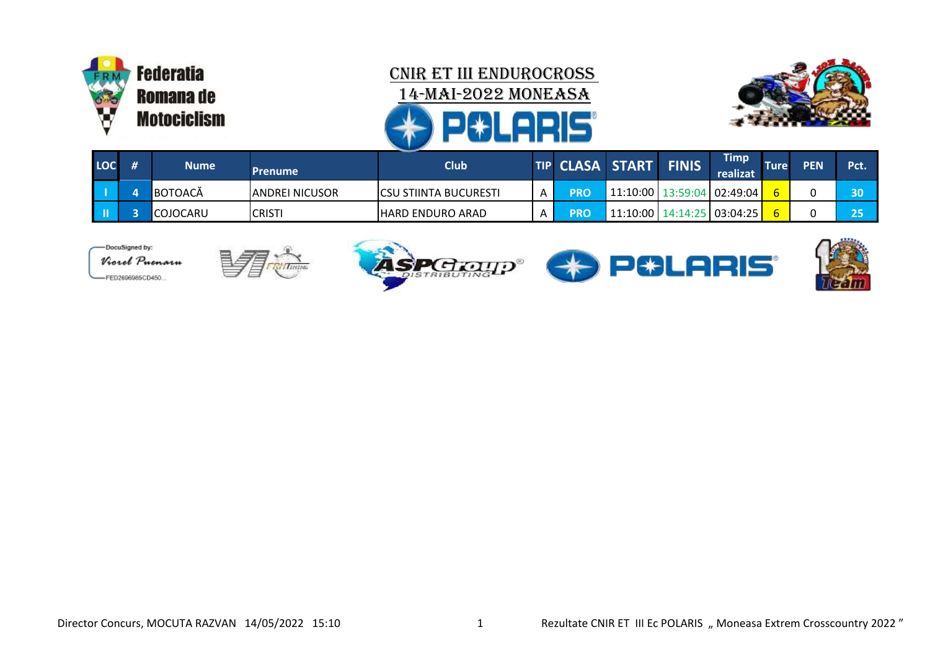



|     | - Wolfen in B |             |                        |                               |   |                       |                                |  |                         |             |            |      |
|-----|---------------|-------------|------------------------|-------------------------------|---|-----------------------|--------------------------------|--|-------------------------|-------------|------------|------|
| LOC |               | <b>Nume</b> | <b>Prenume</b>         | <b>Club</b>                   |   | TIP CLASA START FINIS |                                |  | <b>Timp</b><br>realizat | <b>Ture</b> | <b>PEN</b> | Pct. |
|     |               | BOTOACĂ     | <b>JANDREI NICUSOR</b> | <b>ICSU STIINTA BUCURESTI</b> | A | <b>PRO</b>            | 11:10:00   13:59:04   02:49:04 |  |                         |             |            | 30   |
|     |               | ICOJOCARU   | <b>CRISTI</b>          | IHARD ENDURO ARAD             | A | <b>PRO</b>            | 11:10:00   14:14:25   03:04:25 |  |                         |             |            | 25   |









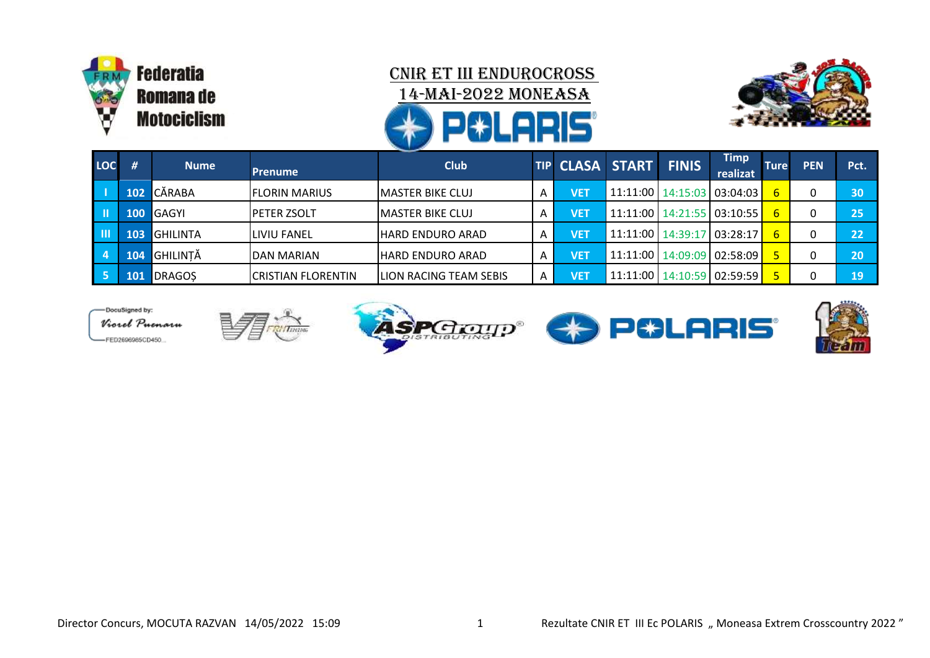



| LOC       | #          | <b>Nume</b>     | <b>Prenume</b>            | <b>Club</b>              |   | TIP CLASA START FINIS |  |                                | <b>Timp</b><br>realizat | <b>Ture</b> | <b>PEN</b> | Pct. |
|-----------|------------|-----------------|---------------------------|--------------------------|---|-----------------------|--|--------------------------------|-------------------------|-------------|------------|------|
|           | 102        | <b>CĂRABA</b>   | <b>IFLORIN MARIUS</b>     | <b>IMASTER BIKE CLUJ</b> | Α | VET                   |  | 11:11:00   14:15:03   03:04:03 |                         | 6.          |            | 30   |
| Lш        | 100        | <b>GAGYI</b>    | <b>IPETER ZSOLT</b>       | IMASTER BIKE CLUJ        | А | VET                   |  | 11:11:00   14:21:55   03:10:55 |                         | ъ.          |            | 25   |
| l III     | 103        | <b>GHILINTA</b> | <b>I</b> LIVIU FANEL      | HARD ENDURO ARAD         | A | VET                   |  | 11:11:00   14:39:17   03:28:17 |                         | ь.          |            | 22   |
| $\vert$ 4 | 104        | <b>GHILINTĂ</b> | IDAN MARIAN               | IHARD ENDURO ARAD        | A | VET                   |  | 11:11:00   14:09:09   02:58:09 |                         |             |            | 20   |
|           | <b>AOP</b> | <b>DRAGOS</b>   | <b>CRISTIAN FLORENTIN</b> | ILION RACING TEAM SEBIS  | A | VET                   |  | 11:11:00   14:10:59   02:59:59 |                         |             |            | 19   |







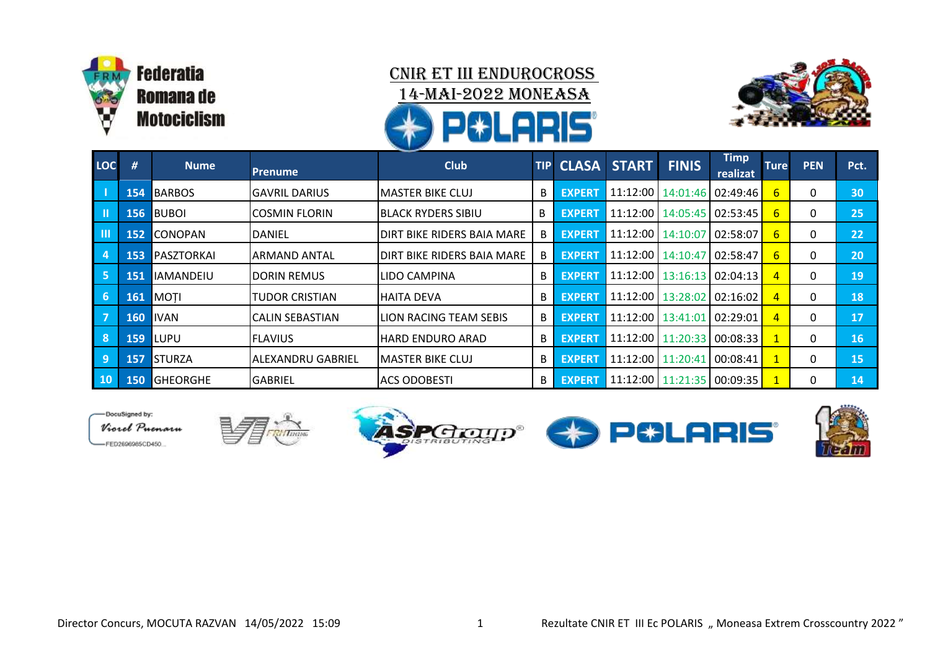



| LOC                        | #          | <b>Nume</b>      | <b>Prenume</b>           | <b>Club</b><br><b>TIP</b>       |   | <b>CLASA</b>  | <b>START</b>                   | <b>FINIS</b>                   | <b>Timp</b><br>realizat        | <b>Ture</b> | <b>PEN</b> | Pct. |
|----------------------------|------------|------------------|--------------------------|---------------------------------|---|---------------|--------------------------------|--------------------------------|--------------------------------|-------------|------------|------|
|                            |            |                  |                          |                                 |   |               |                                |                                |                                |             |            |      |
| $\mathsf{L}$               | 154        | <b>BARBOS</b>    | <b>GAVRIL DARIUS</b>     | IMASTER BIKE CLUJ               | B | <b>EXPERT</b> |                                |                                | 11:12:00   14:01:46   02:49:46 | 6           | 0          | 30   |
| LШ                         | 156        | <b>BUBOI</b>     | <b>COSMIN FLORIN</b>     | B<br>IBLACK RYDERS SIBIU        |   | <b>EXPERT</b> |                                | 11:12:00   14:05:45   02:53:45 |                                | 6           | 0          | 25   |
| $\blacksquare$             | 152        | <b>CONOPAN</b>   | <b>DANIEL</b>            | DIRT BIKE RIDERS BAIA MARE      |   | <b>EXPERT</b> |                                | 11:12:00   14:10:07   02:58:07 |                                | 6           | 0          | 22   |
| $\overline{4}$             | 153        | PASZTORKAI       | ARMAND ANTAL             | DIRT BIKE RIDERS BAIA MARE<br>B |   | <b>EXPERT</b> |                                | 11:12:00   14:10:47   02:58:47 |                                | 6           | 0          | 20   |
| $\overline{\phantom{0}}$ 5 | 151        | <b>IAMANDEIU</b> | <b>DORIN REMUS</b>       | LIDO CAMPINA                    |   | <b>EXPERT</b> | 11:12:00   13:16:13   02:04:13 |                                |                                |             | 0          | 19   |
| $\overline{\phantom{0}}$ 6 | 161        | <b>MOTI</b>      | TUDOR CRISTIAN           | <b>HAITA DEVA</b>               | B | <b>EXPERT</b> |                                | 11:12:00   13:28:02   02:16:02 |                                |             | 0          | 18   |
| $\overline{\phantom{a}}$ 7 | 160        | <b>IVAN</b>      | <b>CALIN SEBASTIAN</b>   | LION RACING TEAM SEBIS          | B | <b>EXPERT</b> |                                | 11:12:00   13:41:01   02:29:01 |                                |             | 0          | 17   |
| 8                          | 159        | LUPU             | <b>FLAVIUS</b>           | <b>HARD ENDURO ARAD</b>         | B | <b>EXPERT</b> |                                |                                | 11:12:00   11:20:33   00:08:33 |             | 0          | 16   |
| 9                          | <b>157</b> | <b>STURZA</b>    | <b>ALEXANDRU GABRIEL</b> | IMASTER BIKE CLUJ               | B | <b>EXPERT</b> |                                | 11:12:00   11:20:41   00:08:41 |                                |             | 0          | 15   |
| 10                         | 150        | <b>GHEORGHE</b>  | IGABRIEL                 | IACS ODOBESTI                   | B | <b>EXPERT</b> |                                |                                | 11:12:00   11:21:35   00:09:35 |             | 0          | 14   |

DocuSianed by: Viorel Puenaru -FED2696985CD450.





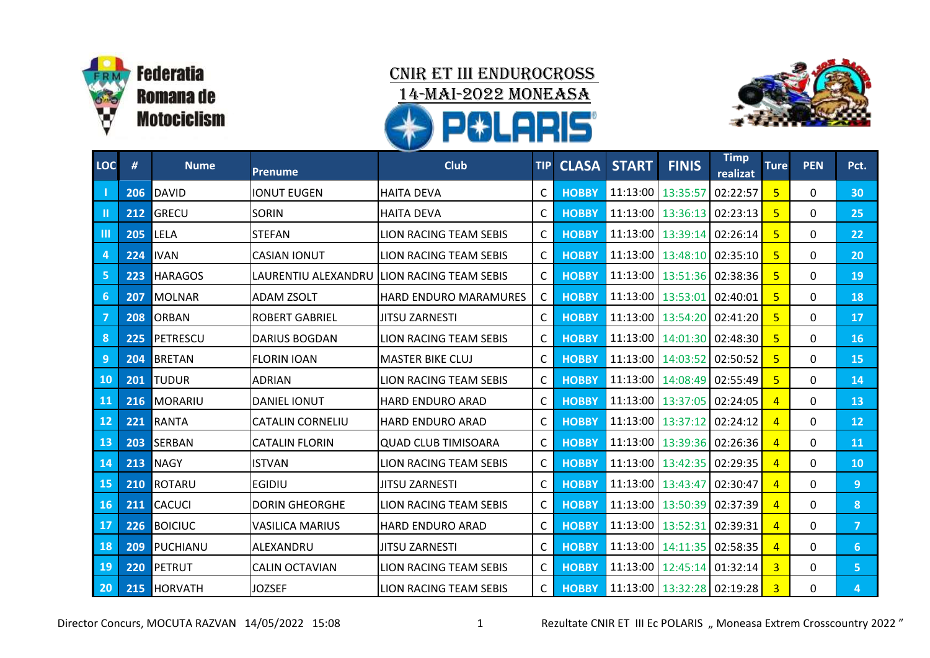



| <b>LOC</b>     | #   | <b>Nume</b>    | <b>Prenume</b>          | <b>Club</b>                   | <b>TIP</b>   | <b>CLASA</b> | <b>START</b>               | <b>FINIS</b>                   | <b>Timp</b><br>realizat | <b>Ture</b>    | <b>PEN</b> | Pct.            |
|----------------|-----|----------------|-------------------------|-------------------------------|--------------|--------------|----------------------------|--------------------------------|-------------------------|----------------|------------|-----------------|
|                | 206 | <b>DAVID</b>   | <b>IONUT EUGEN</b>      | <b>HAITA DEVA</b>             | C            | <b>HOBBY</b> |                            | 11:13:00 13:35:57              | 02:22:57                | 5              | 0          | 30              |
| Ш              |     | 212 GRECU      | <b>SORIN</b>            | <b>HAITA DEVA</b><br>C        |              | <b>HOBBY</b> |                            | 11:13:00   13:36:13   02:23:13 |                         | 5              | 0          | 25              |
| $\mathbf{m}$   | 205 | LELA           | <b>STEFAN</b>           | <b>LION RACING TEAM SEBIS</b> | C            | <b>HOBBY</b> |                            | 11:13:00   13:39:14   02:26:14 |                         | 5              | 0          | 22              |
| $\overline{4}$ | 224 | <b>IVAN</b>    | <b>CASIAN IONUT</b>     | <b>LION RACING TEAM SEBIS</b> | C            | <b>HOBBY</b> |                            | 11:13:00   13:48:10   02:35:10 |                         | 5              | 0          | 20              |
| 5              | 223 | <b>HARAGOS</b> | LAURENTIU ALEXANDRU     | <b>LION RACING TEAM SEBIS</b> | $\mathsf{C}$ | <b>HOBBY</b> |                            | 11:13:00   13:51:36   02:38:36 |                         | 5              | 0          | 19              |
| 6              | 207 | MOLNAR         | <b>ADAM ZSOLT</b>       | <b>HARD ENDURO MARAMURES</b>  | C            | <b>HOBBY</b> |                            | 11:13:00   13:53:01   02:40:01 |                         | 5              | 0          | 18              |
| $\overline{7}$ | 208 | <b>ORBAN</b>   | <b>ROBERT GABRIEL</b>   | <b>JITSU ZARNESTI</b>         | C            | <b>HOBBY</b> |                            | 11:13:00   13:54:20 02:41:20   |                         | -5             | 0          | 17              |
| 8              | 225 | PETRESCU       | <b>DARIUS BOGDAN</b>    | LION RACING TEAM SEBIS        | C            | <b>HOBBY</b> |                            | 11:13:00 14:01:30 02:48:30     |                         | 5              | 0          | 16              |
| 9              | 204 | BRETAN         | <b>FLORIN IOAN</b>      | <b>MASTER BIKE CLUJ</b>       | C            | <b>HOBBY</b> |                            | 11:13:00   14:03:52   02:50:52 |                         | 5              | 0          | 15              |
| 10             | 201 | <b>TUDUR</b>   | <b>ADRIAN</b>           | LION RACING TEAM SEBIS        | C.           | <b>HOBBY</b> |                            | 11:13:00   14:08:49   02:55:49 |                         | 5              | 0          | 14              |
| 11             | 216 | MORARIU        | <b>DANIEL IONUT</b>     | <b>HARD ENDURO ARAD</b>       | C            |              |                            | 11:13:00   13:37:05   02:24:05 |                         | $\overline{4}$ | 0          | 13              |
| $12$           | 221 | RANTA          | <b>CATALIN CORNELIU</b> | <b>HARD ENDURO ARAD</b>       | C            | <b>HOBBY</b> |                            | 11:13:00 13:37:12 02:24:12     |                         | $\overline{4}$ | 0          | 12 <sup>°</sup> |
| 13             | 203 | SERBAN         | <b>CATALIN FLORIN</b>   | <b>QUAD CLUB TIMISOARA</b>    | C            | <b>HOBBY</b> |                            | 11:13:00   13:39:36   02:26:36 |                         | $\overline{4}$ | 0          | 11              |
| 14             | 213 | <b>NAGY</b>    | <b>ISTVAN</b>           | LION RACING TEAM SEBIS        | C            | <b>HOBBY</b> |                            | 11:13:00 13:42:35 02:29:35     |                         | $\overline{4}$ | 0          | 10              |
| 15             | 210 | ROTARU         | EGIDIU                  | <b>JITSU ZARNESTI</b>         | C            | <b>HOBBY</b> |                            | 11:13:00   13:43:47   02:30:47 |                         | 4              | 0          | $\overline{9}$  |
| <b>16</b>      | 211 | <b>CACUCI</b>  | <b>DORIN GHEORGHE</b>   | LION RACING TEAM SEBIS        | $\mathsf{C}$ | <b>HOBBY</b> |                            | 11:13:00   13:50:39   02:37:39 |                         | $\overline{4}$ | 0          | 8               |
| 17             |     | 226 BOICIUC    | <b>VASILICA MARIUS</b>  | <b>HARD ENDURO ARAD</b>       | $\mathsf{C}$ | <b>HOBBY</b> |                            | 11:13:00   13:52:31   02:39:31 |                         | $\overline{4}$ | 0          | $\overline{7}$  |
| 18             | 209 | PUCHIANU       | ALEXANDRU               | <b>JITSU ZARNESTI</b>         | C            | <b>HOBBY</b> |                            | 11:13:00 14:11:35 02:58:35     |                         | $\overline{4}$ | 0          | 6               |
| 19             | 220 | PETRUT         | CALIN OCTAVIAN          | LION RACING TEAM SEBIS        | C            | <b>HOBBY</b> |                            | 11:13:00   12:45:14   01:32:14 |                         | 3              | 0          | 5 <sub>1</sub>  |
| 20             |     | 215 HORVATH    | <b>JOZSEF</b>           | LION RACING TEAM SEBIS        | $\mathsf{C}$ | <b>HOBBY</b> | 11:13:00 13:32:28 02:19:28 |                                |                         | 3              | 0          | 4               |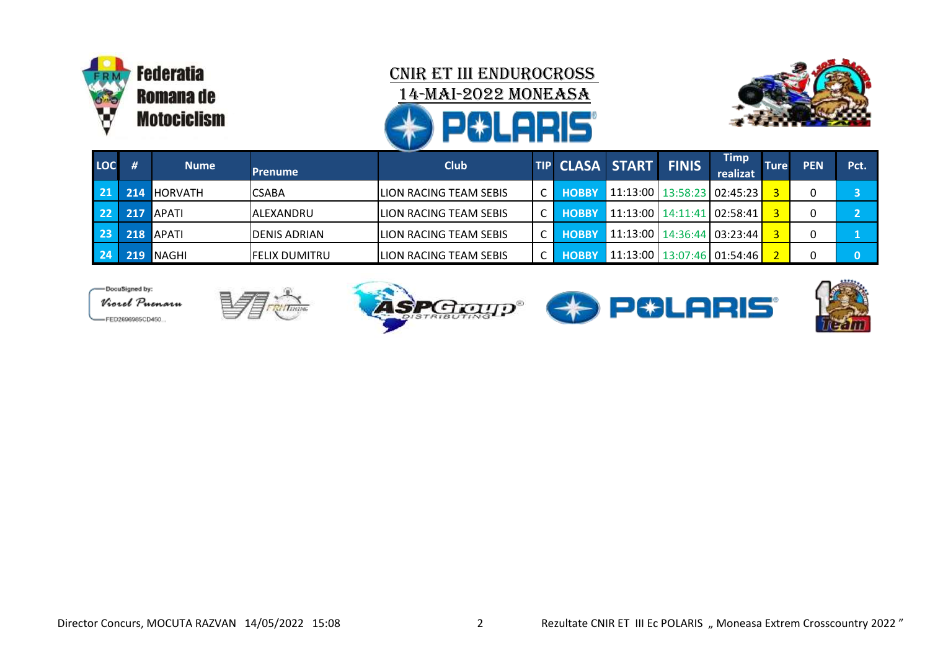



| <b>LOC</b> |                  | <b>Nume</b>    | <b>Prenume</b>        | <b>Club</b>                    |  |              | <b>TIP CLASA START FINIS</b>          |  | Timp<br>realizat | <b>Ture</b> | <b>PEN</b> | Pct. |
|------------|------------------|----------------|-----------------------|--------------------------------|--|--------------|---------------------------------------|--|------------------|-------------|------------|------|
|            | 214 <sub>1</sub> | <b>HORVATH</b> | <b>CSABA</b>          | <b>LION RACING TEAM SEBIS</b>  |  | <b>HOBBY</b> | 11:13:00   13:58:23   02:45:23        |  |                  |             |            |      |
| 22         | 217              | <b>LAPATI</b>  | IALEXANDRU            | <b>LION RACING TEAM SEBIS</b>  |  | <b>HOBBY</b> | $\mid$ 11:13:00   14:11:41   02:58:41 |  |                  |             |            |      |
| 23         |                  | 218 APATI      | <b>IDENIS ADRIAN</b>  | <b>ILION RACING TEAM SEBIS</b> |  | <b>HOBBY</b> | 11:13:00   14:36:44   03:23:44        |  |                  |             |            |      |
|            | 219 <sub>1</sub> | <b>INAGHI</b>  | <b>IFELIX DUMITRU</b> | <b>ILION RACING TEAM SEBIS</b> |  |              | 11:13:00   13:07:46   01:54:46        |  |                  |             |            |      |

-DocuSigned by: Viorel Puenaru -FED2696985CD450.







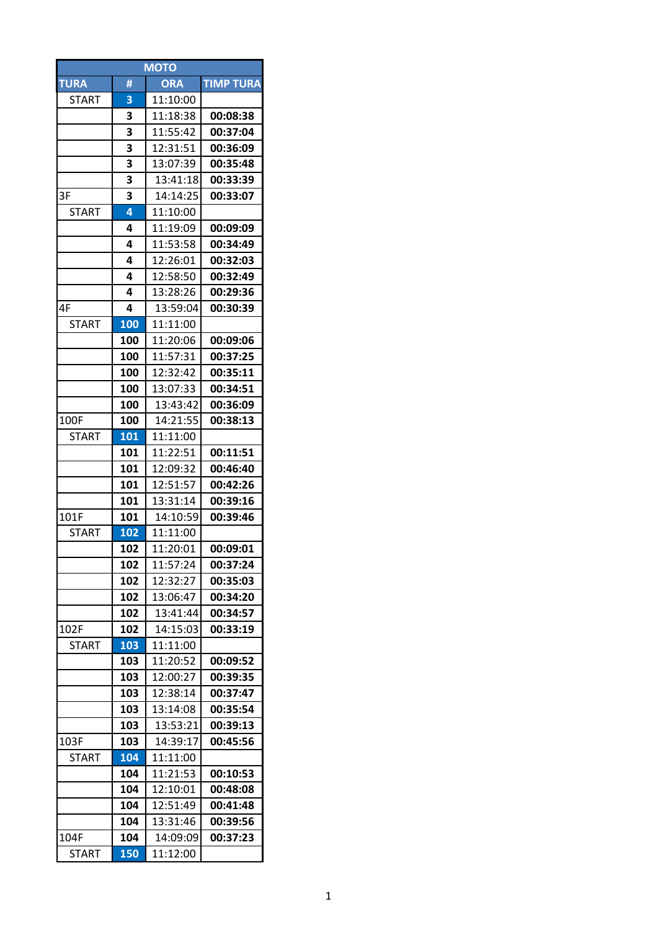| <b>MOTO</b>  |            |                      |                  |  |  |  |  |  |  |  |
|--------------|------------|----------------------|------------------|--|--|--|--|--|--|--|
| <b>TURA</b>  | #          | <b>ORA</b>           | <b>TIMP TURA</b> |  |  |  |  |  |  |  |
| <b>START</b> | 3          | 11:10:00             |                  |  |  |  |  |  |  |  |
|              | 3          | 11:18:38             | 00:08:38         |  |  |  |  |  |  |  |
|              | 3          | 11:55:42             | 00:37:04         |  |  |  |  |  |  |  |
|              | 3          | 12:31:51             | 00:36:09         |  |  |  |  |  |  |  |
|              | 3          | 13:07:39             | 00:35:48         |  |  |  |  |  |  |  |
|              | 3          | 13:41:18             | 00:33:39         |  |  |  |  |  |  |  |
| 3F           | 3          | 14:14:25             | 00:33:07         |  |  |  |  |  |  |  |
| <b>START</b> | 4          | 11:10:00             |                  |  |  |  |  |  |  |  |
|              | 4          | 11:19:09             | 00:09:09         |  |  |  |  |  |  |  |
|              | 4          | 11:53:58             | 00:34:49         |  |  |  |  |  |  |  |
|              | 4          | 12:26:01             | 00:32:03         |  |  |  |  |  |  |  |
|              | 4          | 12:58:50             | 00:32:49         |  |  |  |  |  |  |  |
|              | 4          | 13:28:26             | 00:29:36         |  |  |  |  |  |  |  |
| 4F           | 4          | 13:59:04             | 00:30:39         |  |  |  |  |  |  |  |
| <b>START</b> | 100        | 11:11:00             |                  |  |  |  |  |  |  |  |
|              | 100        | 11:20:06             | 00:09:06         |  |  |  |  |  |  |  |
|              | 100        | 11:57:31             | 00:37:25         |  |  |  |  |  |  |  |
|              | 100        | 12:32:42             | 00:35:11         |  |  |  |  |  |  |  |
|              | 100        | 13:07:33             | 00:34:51         |  |  |  |  |  |  |  |
|              | 100        | 13:43:42             | 00:36:09         |  |  |  |  |  |  |  |
| 100F         | 100        | 14:21:55             | 00:38:13         |  |  |  |  |  |  |  |
| <b>START</b> | 101        | 11:11:00             |                  |  |  |  |  |  |  |  |
|              | 101        | 11:22:51             | 00:11:51         |  |  |  |  |  |  |  |
|              | 101        | 12:09:32             | 00:46:40         |  |  |  |  |  |  |  |
|              | 101        | 12:51:57             | 00:42:26         |  |  |  |  |  |  |  |
|              | 101        | 13:31:14             | 00:39:16         |  |  |  |  |  |  |  |
| 101F         | 101        | 14:10:59             | 00:39:46         |  |  |  |  |  |  |  |
| <b>START</b> | 102        | 11:11:00             |                  |  |  |  |  |  |  |  |
|              | 102        | 11:20:01             | 00:09:01         |  |  |  |  |  |  |  |
|              | 102        | 11:57:24             | 00:37:24         |  |  |  |  |  |  |  |
|              |            |                      | 00:35:03         |  |  |  |  |  |  |  |
|              | 102        | 12:32:27             | 00:34:20         |  |  |  |  |  |  |  |
|              | 102<br>102 | 13:06:47             | 00:34:57         |  |  |  |  |  |  |  |
| 102F         | 102        | 13:41:44<br>14:15:03 |                  |  |  |  |  |  |  |  |
|              |            |                      | 00:33:19         |  |  |  |  |  |  |  |
| START        | 103        | 11:11:00             | 00:09:52         |  |  |  |  |  |  |  |
|              | 103        | 11:20:52             |                  |  |  |  |  |  |  |  |
|              | 103        | 12:00:27             | 00:39:35         |  |  |  |  |  |  |  |
|              | 103        | 12:38:14             | 00:37:47         |  |  |  |  |  |  |  |
|              | 103        | 13:14:08             | 00:35:54         |  |  |  |  |  |  |  |
|              | 103        | 13:53:21             | 00:39:13         |  |  |  |  |  |  |  |
| 103F         | 103        | 14:39:17             | 00:45:56         |  |  |  |  |  |  |  |
| <b>START</b> | 104        | 11:11:00             |                  |  |  |  |  |  |  |  |
|              | 104        | 11:21:53             | 00:10:53         |  |  |  |  |  |  |  |
|              | 104        | 12:10:01             | 00:48:08         |  |  |  |  |  |  |  |
|              | 104        | 12:51:49             | 00:41:48         |  |  |  |  |  |  |  |
|              | 104        | 13:31:46             | 00:39:56         |  |  |  |  |  |  |  |
| 104F         | 104        | 14:09:09             | 00:37:23         |  |  |  |  |  |  |  |
| <b>START</b> | 150        | 11:12:00             |                  |  |  |  |  |  |  |  |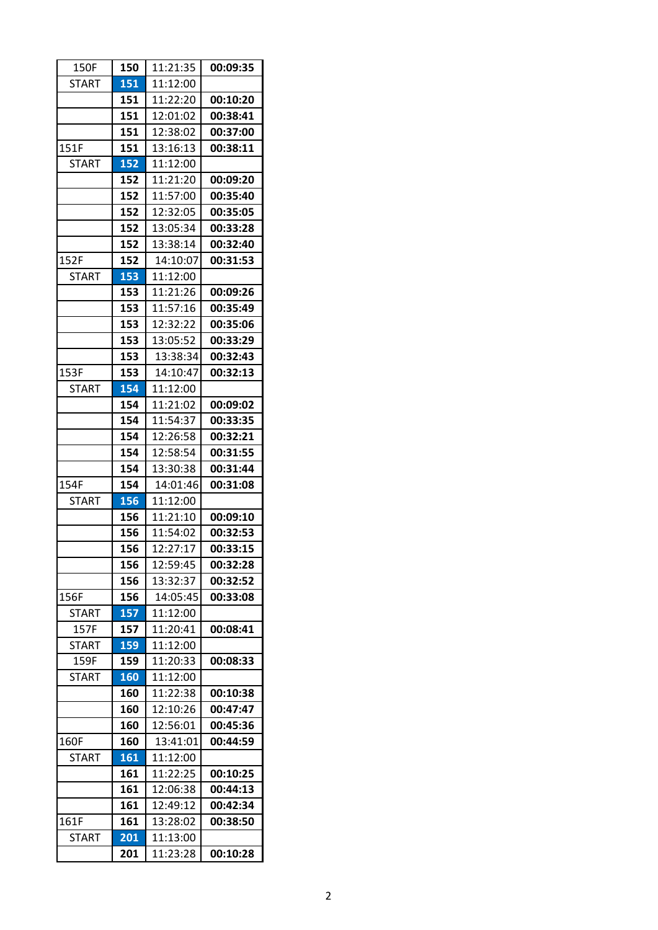| 150F         | 150 | 11:21:35 | 00:09:35 |
|--------------|-----|----------|----------|
| <b>START</b> | 151 | 11:12:00 |          |
|              | 151 | 11:22:20 | 00:10:20 |
|              | 151 | 12:01:02 | 00:38:41 |
|              | 151 | 12:38:02 | 00:37:00 |
| 151F         | 151 | 13:16:13 | 00:38:11 |
| <b>START</b> | 152 | 11:12:00 |          |
|              | 152 | 11:21:20 | 00:09:20 |
|              | 152 | 11:57:00 | 00:35:40 |
|              | 152 | 12:32:05 | 00:35:05 |
|              | 152 | 13:05:34 | 00:33:28 |
|              | 152 | 13:38:14 | 00:32:40 |
| 152F         | 152 | 14:10:07 | 00:31:53 |
| <b>START</b> | 153 | 11:12:00 |          |
|              | 153 | 11:21:26 | 00:09:26 |
|              | 153 | 11:57:16 | 00:35:49 |
|              | 153 | 12:32:22 | 00:35:06 |
|              | 153 | 13:05:52 | 00:33:29 |
|              | 153 | 13:38:34 | 00:32:43 |
| 153F         | 153 | 14:10:47 | 00:32:13 |
| <b>START</b> | 154 | 11:12:00 |          |
|              | 154 | 11:21:02 | 00:09:02 |
|              | 154 | 11:54:37 | 00:33:35 |
|              | 154 | 12:26:58 | 00:32:21 |
|              | 154 | 12:58:54 | 00:31:55 |
|              | 154 | 13:30:38 | 00:31:44 |
|              |     |          |          |
| 154F         | 154 | 14:01:46 | 00:31:08 |
| <b>START</b> | 156 | 11:12:00 |          |
|              | 156 | 11:21:10 | 00:09:10 |
|              | 156 | 11:54:02 | 00:32:53 |
|              | 156 | 12:27:17 | 00:33:15 |
|              | 156 | 12:59:45 | 00:32:28 |
|              | 156 | 13:32:37 | 00:32:52 |
| 156F         | 156 | 14:05:45 | 00:33:08 |
| <b>START</b> | 157 | 11:12:00 |          |
| 157F         | 157 | 11:20:41 | 00:08:41 |
| <b>START</b> | 159 | 11:12:00 |          |
| 159F         | 159 | 11:20:33 | 00:08:33 |
| <b>START</b> | 160 | 11:12:00 |          |
|              | 160 | 11:22:38 | 00:10:38 |
|              | 160 | 12:10:26 | 00:47:47 |
|              | 160 | 12:56:01 | 00:45:36 |
| 160F         | 160 | 13:41:01 | 00:44:59 |
| <b>START</b> | 161 | 11:12:00 |          |
|              | 161 | 11:22:25 | 00:10:25 |
|              | 161 | 12:06:38 | 00:44:13 |
|              | 161 | 12:49:12 | 00:42:34 |
| 161F         | 161 | 13:28:02 | 00:38:50 |
| <b>START</b> | 201 | 11:13:00 |          |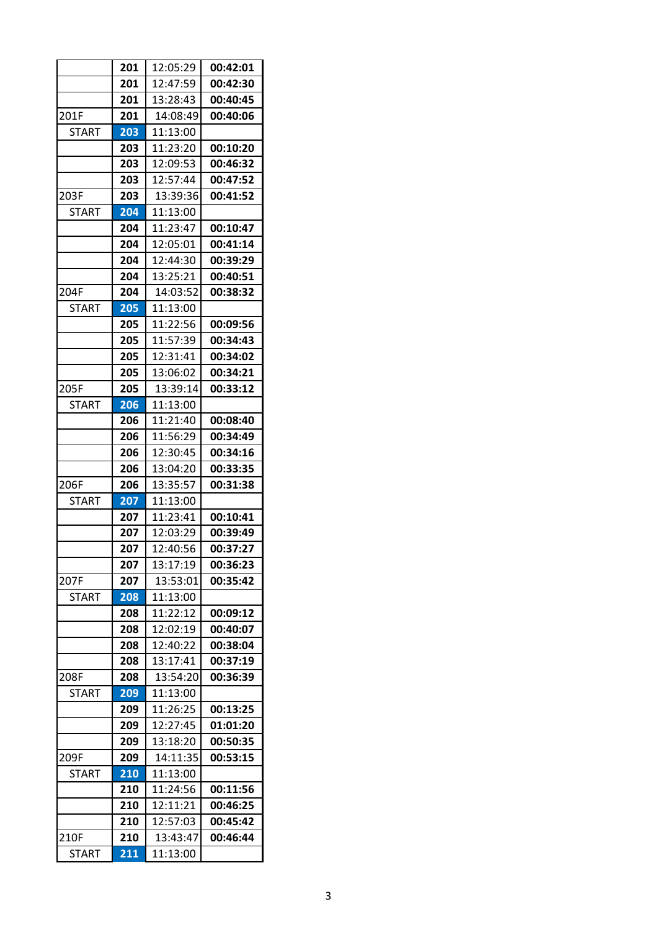|              | 201 | 12:05:29 | 00:42:01 |
|--------------|-----|----------|----------|
|              | 201 | 12:47:59 | 00:42:30 |
|              | 201 | 13:28:43 | 00:40:45 |
| 201F         | 201 | 14:08:49 | 00:40:06 |
| <b>START</b> | 203 | 11:13:00 |          |
|              | 203 | 11:23:20 | 00:10:20 |
|              | 203 | 12:09:53 | 00:46:32 |
|              | 203 | 12:57:44 | 00:47:52 |
| 203F         | 203 | 13:39:36 | 00:41:52 |
| <b>START</b> | 204 | 11:13:00 |          |
|              | 204 | 11:23:47 | 00:10:47 |
|              | 204 | 12:05:01 | 00:41:14 |
|              | 204 | 12:44:30 | 00:39:29 |
|              | 204 | 13:25:21 | 00:40:51 |
| 204F         | 204 | 14:03:52 | 00:38:32 |
| <b>START</b> | 205 | 11:13:00 |          |
|              | 205 | 11:22:56 | 00:09:56 |
|              | 205 | 11:57:39 | 00:34:43 |
|              | 205 | 12:31:41 | 00:34:02 |
|              | 205 | 13:06:02 | 00:34:21 |
| 205F         | 205 | 13:39:14 | 00:33:12 |
| <b>START</b> | 206 | 11:13:00 |          |
|              | 206 | 11:21:40 | 00:08:40 |
|              | 206 | 11:56:29 | 00:34:49 |
|              | 206 | 12:30:45 | 00:34:16 |
|              | 206 | 13:04:20 | 00:33:35 |
| 206F         | 206 | 13:35:57 | 00:31:38 |
| <b>START</b> | 207 | 11:13:00 |          |
|              | 207 | 11:23:41 | 00:10:41 |
|              | 207 | 12:03:29 | 00:39:49 |
|              | 207 | 12:40:56 | 00:37:27 |
|              | 207 | 13:17:19 | 00:36:23 |
| 207F         | 207 | 13:53:01 | 00:35:42 |
| <b>START</b> | 208 | 11:13:00 |          |
|              | 208 | 11:22:12 | 00:09:12 |
|              | 208 | 12:02:19 | 00:40:07 |
|              | 208 | 12:40:22 | 00:38:04 |
|              | 208 | 13:17:41 | 00:37:19 |
| 208F         | 208 | 13:54:20 | 00:36:39 |
| <b>START</b> | 209 | 11:13:00 |          |
|              | 209 | 11:26:25 | 00:13:25 |
|              | 209 | 12:27:45 | 01:01:20 |
|              | 209 | 13:18:20 | 00:50:35 |
| 209F         | 209 | 14:11:35 | 00:53:15 |
| START        | 210 | 11:13:00 |          |
|              | 210 | 11:24:56 | 00:11:56 |
|              | 210 | 12:11:21 | 00:46:25 |
|              | 210 | 12:57:03 | 00:45:42 |
| 210F         | 210 | 13:43:47 | 00:46:44 |
| <b>START</b> | 211 | 11:13:00 |          |
|              |     |          |          |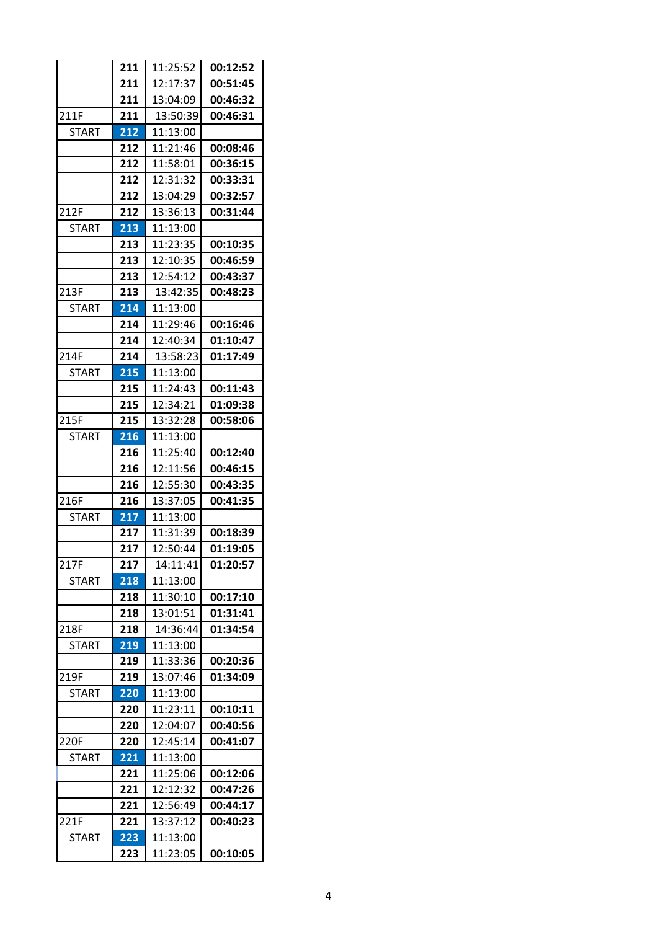|              | 211 | 11:25:52 | 00:12:52 |
|--------------|-----|----------|----------|
|              | 211 | 12:17:37 | 00:51:45 |
|              | 211 | 13:04:09 | 00:46:32 |
| 211F         | 211 | 13:50:39 | 00:46:31 |
| <b>START</b> | 212 | 11:13:00 |          |
|              | 212 | 11:21:46 | 00:08:46 |
|              | 212 | 11:58:01 | 00:36:15 |
|              | 212 | 12:31:32 | 00:33:31 |
|              | 212 | 13:04:29 | 00:32:57 |
| 212F         | 212 | 13:36:13 | 00:31:44 |
| <b>START</b> | 213 | 11:13:00 |          |
|              | 213 | 11:23:35 | 00:10:35 |
|              | 213 | 12:10:35 | 00:46:59 |
|              | 213 | 12:54:12 | 00:43:37 |
| 213F         | 213 | 13:42:35 | 00:48:23 |
| <b>START</b> | 214 | 11:13:00 |          |
|              | 214 | 11:29:46 | 00:16:46 |
|              | 214 | 12:40:34 | 01:10:47 |
| 214F         | 214 | 13:58:23 | 01:17:49 |
| <b>START</b> | 215 | 11:13:00 |          |
|              | 215 | 11:24:43 | 00:11:43 |
|              | 215 | 12:34:21 | 01:09:38 |
| 215F         | 215 | 13:32:28 | 00:58:06 |
| <b>START</b> | 216 | 11:13:00 |          |
|              | 216 | 11:25:40 | 00:12:40 |
|              | 216 | 12:11:56 | 00:46:15 |
|              | 216 | 12:55:30 | 00:43:35 |
| 216F         | 216 | 13:37:05 | 00:41:35 |
| START        | 217 | 11:13:00 |          |
|              | 217 | 11:31:39 | 00:18:39 |
|              | 217 | 12:50:44 | 01:19:05 |
| 217F         | 217 | 14:11:41 | 01:20:57 |
| <b>START</b> | 218 | 11:13:00 |          |
|              | 218 | 11:30:10 | 00:17:10 |
|              | 218 | 13:01:51 | 01:31:41 |
| 218F         | 218 | 14:36:44 | 01:34:54 |
| START        | 219 | 11:13:00 |          |
|              | 219 | 11:33:36 | 00:20:36 |
| 219F         | 219 | 13:07:46 | 01:34:09 |
| <b>START</b> | 220 | 11:13:00 |          |
|              | 220 | 11:23:11 | 00:10:11 |
|              | 220 | 12:04:07 | 00:40:56 |
| 220F         | 220 | 12:45:14 | 00:41:07 |
| START        | 221 | 11:13:00 |          |
|              | 221 | 11:25:06 | 00:12:06 |
|              | 221 | 12:12:32 | 00:47:26 |
|              | 221 | 12:56:49 | 00:44:17 |
| 221F         | 221 | 13:37:12 | 00:40:23 |
| START        | 223 | 11:13:00 |          |
|              | 223 | 11:23:05 | 00:10:05 |